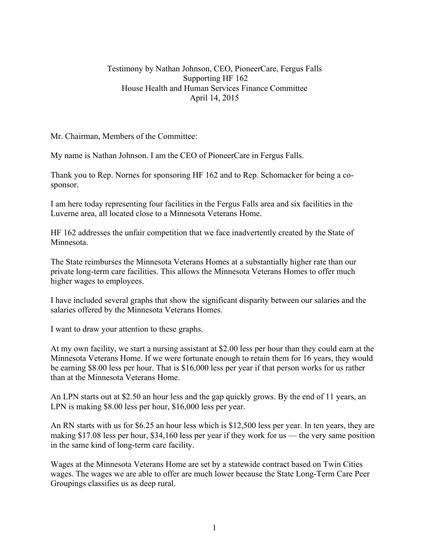## Testimony by Nathan Johnson, CEO, PioneerCare, Fergus Falls Supporting HF 162 House Health and Human Services Finance Committee April 14, 2015

Mr. Chairman, Members of the Committee:

My name is Nathan Johnson. I am the CEO of PioneerCare in Fergus Falls.

Thank you to Rep. Nornes for sponsoring HF 162 and to Rep. Schomacker for being a cosponsor.

I am here today representing four facilities in the Fergus Falls area and six facilities in the Luverne area, all located close to a Minnesota Veterans Home.

HF 162 addresses the unfair competition that we face inadvertently created by the State of Minnesota.

The State reimburses the Minnesota Veterans Homes at a substantially higher rate than our private long-term care facilities. This allows the Minnesota Veterans Homes to offer much higher wages to employees.

I have included several graphs that show the significant disparity between our salaries and the salaries offered by the Minnesota Veterans Homes.

I want to draw your attention to these graphs.

At my own facility, we start a nursing assistant at \$2.00 less per hour than they could earn at the Minnesota Veterans Home. If we were fortunate enough to retain them for 16 years, they would be earning \$8.00 less per hour. That is \$16,000 less per year if that person works for us rather than at the Minnesota Veterans Home.

An LPN starts out at \$2.50 an hour less and the gap quickly grows. By the end of 11 years, an LPN is making \$8.00 less per hour, \$16,000 less per year.

An RN starts with us for \$6.25 an hour less which is \$12,500 less per year. In ten years, they are making \$17.08 less per hour, \$34,160 less per year if they work for us — the very same position in the same kind of long-term care facility.

Wages at the Minnesota Veterans Home are set by a statewide contract based on Twin Cities wages. The wages we are able to offer are much lower because the State Long-Term Care Peer Groupings classifies us as deep rural.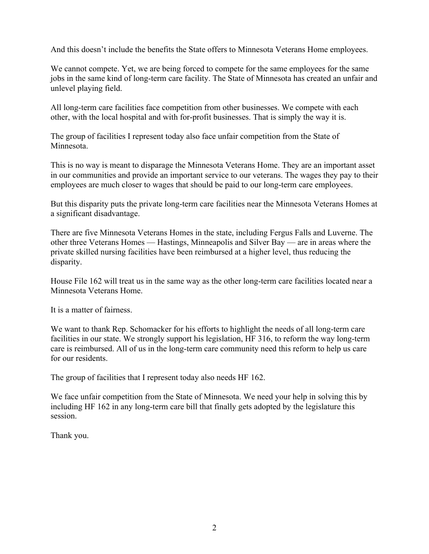And this doesn't include the benefits the State offers to Minnesota Veterans Home employees.

We cannot compete. Yet, we are being forced to compete for the same employees for the same jobs in the same kind of long-term care facility. The State of Minnesota has created an unfair and unlevel playing field.

All long-term care facilities face competition from other businesses. We compete with each other, with the local hospital and with for-profit businesses. That is simply the way it is.

The group of facilities I represent today also face unfair competition from the State of Minnesota.

This is no way is meant to disparage the Minnesota Veterans Home. They are an important asset in our communities and provide an important service to our veterans. The wages they pay to their employees are much closer to wages that should be paid to our long-term care employees.

But this disparity puts the private long-term care facilities near the Minnesota Veterans Homes at a significant disadvantage.

There are five Minnesota Veterans Homes in the state, including Fergus Falls and Luverne. The other three Veterans Homes — Hastings, Minneapolis and Silver Bay — are in areas where the private skilled nursing facilities have been reimbursed at a higher level, thus reducing the disparity.

House File 162 will treat us in the same way as the other long-term care facilities located near a Minnesota Veterans Home.

It is a matter of fairness.

We want to thank Rep. Schomacker for his efforts to highlight the needs of all long-term care facilities in our state. We strongly support his legislation, HF 316, to reform the way long-term care is reimbursed. All of us in the long-term care community need this reform to help us care for our residents.

The group of facilities that I represent today also needs HF 162.

We face unfair competition from the State of Minnesota. We need your help in solving this by including HF 162 in any long-term care bill that finally gets adopted by the legislature this session.

Thank you.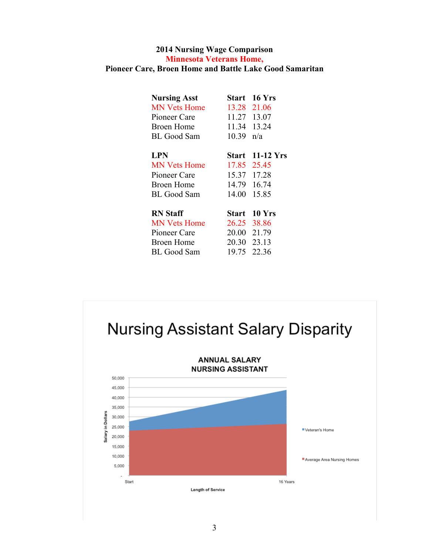## **2014 Nursing Wage Comparison Minnesota Veterans Home, Pioneer Care, Broen Home and Battle Lake Good Samaritan**

| <b>Nursing Asst</b> | <b>Start</b> | <b>16 Yrs</b> |
|---------------------|--------------|---------------|
| <b>MN Vets Home</b> | 13.28        | 21.06         |
| Pioneer Care        | 11.27        | 13.07         |
| Broen Home          | 11.34 13.24  |               |
| BL Good Sam         | 10.39        | n/a           |
| <b>LPN</b>          | Start        | $11-12$ Yrs   |
| <b>MN Vets Home</b> | 17.85        | 25.45         |
| Pioneer Care        | 15.37        | 17.28         |
| <b>Broen Home</b>   | 14.79        | 16.74         |
| BL Good Sam         | 14.00        | 15.85         |
| <b>RN</b> Staff     | Start        | $10$ Yrs      |
| <b>MN Vets Home</b> | 26.25        | 38.86         |
| Pioneer Care        | 20.00        | 21.79         |
| <b>Broen Home</b>   | 20.30        | 23.13         |
| BL Good Sam         | 19.75        | 22.36         |